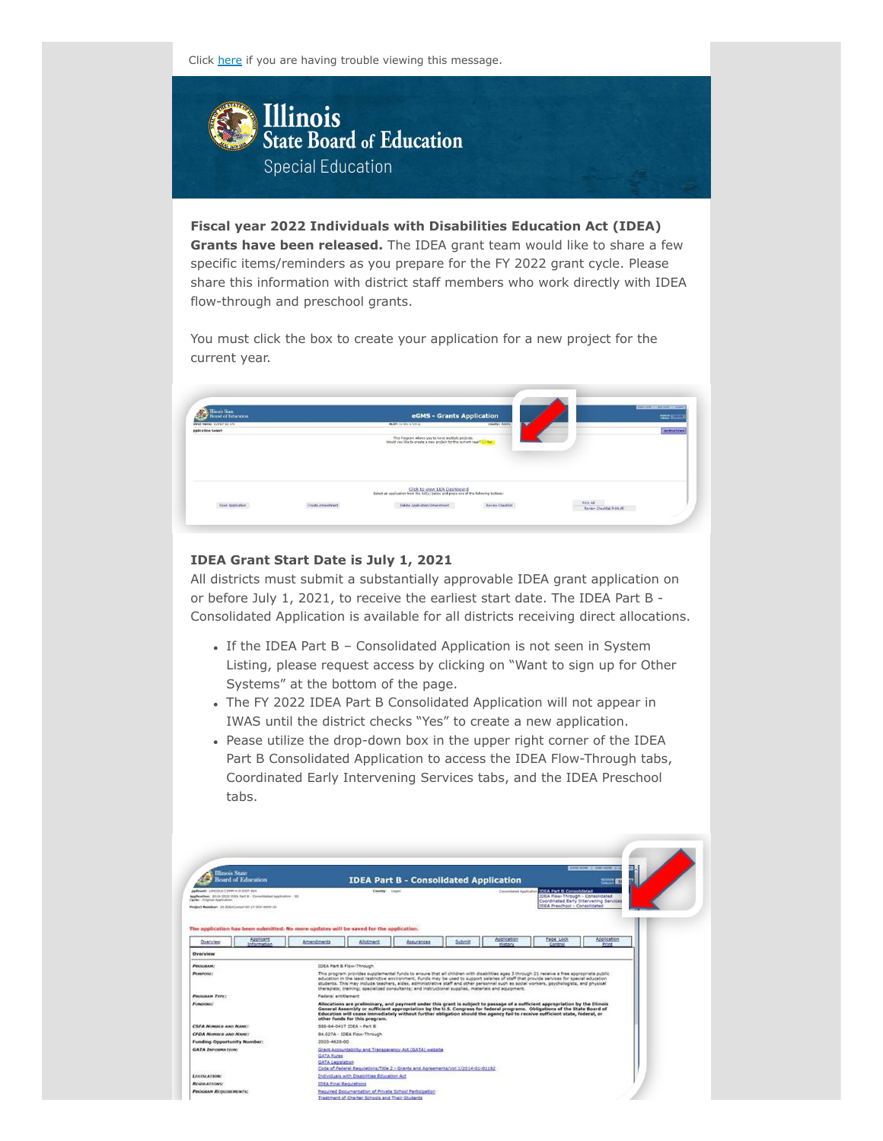Click here if you are having trouble viewing this message.



**Fiscal year 2022 Individuals with Disabilities Education Act (IDEA) Grants have been released.** The IDEA grant team would like to share a few specific items/reminders as you prepare for the FY 2022 grant cycle. Please share this information with district staff members who work directly with IDEA flow-through and preschool grants.

You must click the box to create your application for a new project for the current year.



### **IDEA Grant Start Date is July 1, 2021**

All districts must submit a substantially approvable IDEA grant application on or before July 1, 2021, to receive the earliest start date. The IDEA Part B - Consolidated Application is available for all districts receiving direct allocations.

- If the IDEA Part B Consolidated Application is not seen in System Listing, please request access by clicking on "Want to sign up for Other Systems" at the bottom of the page.
- The FY 2022 IDEA Part B Consolidated Application will not appear in IWAS until the district checks "Yes" to create a new application.
- Pease utilize the drop-down box in the upper right corner of the IDEA Part B Consolidated Application to access the IDEA Flow-Through tabs, Coordinated Early Intervening Services tabs, and the IDEA Preschool tabs.

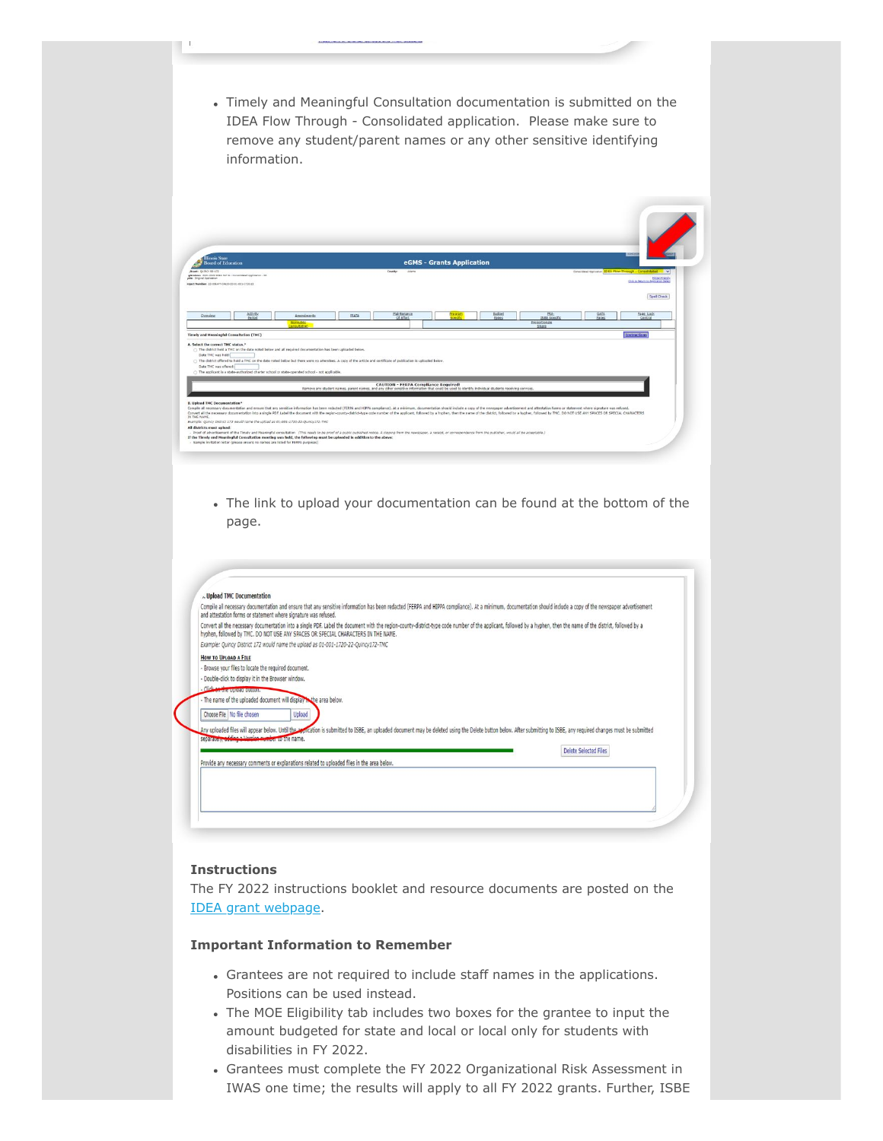Timely and Meaningful Consultation documentation is submitted on the IDEA Flow Through - Consolidated application. Please make sure to remove any student/parent names or any other sensitive identifying information.

| eGMS - Grants Application<br><b>Board of Education</b><br>Consolidated Aschoarces 10EA Flow-Through - Consolidated V<br>Alcant: OUTACY 50 172<br>Adams<br>County:<br>elecation: 2021-2022 IDEA Part B - Consolidated Application - 00<br>edes Original Application<br>relect Number: 23-036AFT-04620-00-01-031-1720-22<br>GATA<br>Activity<br>Maintenance<br><b>Budget</b><br><b>ERA:</b><br>ISBE Specific<br>Page Lock<br><b>Frestan</b><br>FFATA<br>Amendments<br>Overview<br>Period<br>Of Effort<br>Pades<br>Pages<br>Control<br>horoublic<br>Proportionate<br><b>consultation</b><br>Share<br>Instructions<br><b>Timely and Meaningful Consultation (TMC)</b><br>A. Select the correct TMC status."<br>. The district held a THC on the date noted below and all required documentation has been uploaded below.<br>Date TMC was held:<br>(1) The district offered to hold a TMC on the date noted below but there were no attendees. A copy of the article and certificate of publication is uploaded below.<br>Date TMC was offered:<br>○ The applicant is a state-authorized charter school or state-operated school - not applicable.<br><b>CAUTION - FERPA Compliance Required!</b><br>Remove any student names, parent names, and any other sensitive information that could be used to identify individual students receiving services<br><b>B. Upload TMC Documentation*</b><br>Compile all necessary documentation and ensure that any sensitive information has been redacted (FERPA and HDPA compilance). At a minimum, documentation should include a copy of the newspaper advertisement and attestation<br>Convert all the necessary documentation into a single PDF. Label the document with the region-county-district-type code number of the applicant, followed by a hyphen, then the name of the district, followed by a hyphen, th<br>IN THE NAME. |                            |  |  |  | <b>NUME AD</b>                                          |
|-----------------------------------------------------------------------------------------------------------------------------------------------------------------------------------------------------------------------------------------------------------------------------------------------------------------------------------------------------------------------------------------------------------------------------------------------------------------------------------------------------------------------------------------------------------------------------------------------------------------------------------------------------------------------------------------------------------------------------------------------------------------------------------------------------------------------------------------------------------------------------------------------------------------------------------------------------------------------------------------------------------------------------------------------------------------------------------------------------------------------------------------------------------------------------------------------------------------------------------------------------------------------------------------------------------------------------------------------------------------------------------------------------------------------------------------------------------------------------------------------------------------------------------------------------------------------------------------------------------------------------------------------------------------------------------------------------------------------------------------------------------------------------------------------------------------------------------------------------------------------------|----------------------------|--|--|--|---------------------------------------------------------|
|                                                                                                                                                                                                                                                                                                                                                                                                                                                                                                                                                                                                                                                                                                                                                                                                                                                                                                                                                                                                                                                                                                                                                                                                                                                                                                                                                                                                                                                                                                                                                                                                                                                                                                                                                                                                                                                                             |                            |  |  |  |                                                         |
|                                                                                                                                                                                                                                                                                                                                                                                                                                                                                                                                                                                                                                                                                                                                                                                                                                                                                                                                                                                                                                                                                                                                                                                                                                                                                                                                                                                                                                                                                                                                                                                                                                                                                                                                                                                                                                                                             |                            |  |  |  |                                                         |
|                                                                                                                                                                                                                                                                                                                                                                                                                                                                                                                                                                                                                                                                                                                                                                                                                                                                                                                                                                                                                                                                                                                                                                                                                                                                                                                                                                                                                                                                                                                                                                                                                                                                                                                                                                                                                                                                             |                            |  |  |  | <b>Ristan Francis</b><br>Club to American Antiques Sand |
|                                                                                                                                                                                                                                                                                                                                                                                                                                                                                                                                                                                                                                                                                                                                                                                                                                                                                                                                                                                                                                                                                                                                                                                                                                                                                                                                                                                                                                                                                                                                                                                                                                                                                                                                                                                                                                                                             |                            |  |  |  |                                                         |
|                                                                                                                                                                                                                                                                                                                                                                                                                                                                                                                                                                                                                                                                                                                                                                                                                                                                                                                                                                                                                                                                                                                                                                                                                                                                                                                                                                                                                                                                                                                                                                                                                                                                                                                                                                                                                                                                             |                            |  |  |  | Spell Check                                             |
|                                                                                                                                                                                                                                                                                                                                                                                                                                                                                                                                                                                                                                                                                                                                                                                                                                                                                                                                                                                                                                                                                                                                                                                                                                                                                                                                                                                                                                                                                                                                                                                                                                                                                                                                                                                                                                                                             |                            |  |  |  |                                                         |
|                                                                                                                                                                                                                                                                                                                                                                                                                                                                                                                                                                                                                                                                                                                                                                                                                                                                                                                                                                                                                                                                                                                                                                                                                                                                                                                                                                                                                                                                                                                                                                                                                                                                                                                                                                                                                                                                             |                            |  |  |  |                                                         |
|                                                                                                                                                                                                                                                                                                                                                                                                                                                                                                                                                                                                                                                                                                                                                                                                                                                                                                                                                                                                                                                                                                                                                                                                                                                                                                                                                                                                                                                                                                                                                                                                                                                                                                                                                                                                                                                                             |                            |  |  |  |                                                         |
|                                                                                                                                                                                                                                                                                                                                                                                                                                                                                                                                                                                                                                                                                                                                                                                                                                                                                                                                                                                                                                                                                                                                                                                                                                                                                                                                                                                                                                                                                                                                                                                                                                                                                                                                                                                                                                                                             |                            |  |  |  |                                                         |
|                                                                                                                                                                                                                                                                                                                                                                                                                                                                                                                                                                                                                                                                                                                                                                                                                                                                                                                                                                                                                                                                                                                                                                                                                                                                                                                                                                                                                                                                                                                                                                                                                                                                                                                                                                                                                                                                             |                            |  |  |  |                                                         |
|                                                                                                                                                                                                                                                                                                                                                                                                                                                                                                                                                                                                                                                                                                                                                                                                                                                                                                                                                                                                                                                                                                                                                                                                                                                                                                                                                                                                                                                                                                                                                                                                                                                                                                                                                                                                                                                                             |                            |  |  |  |                                                         |
|                                                                                                                                                                                                                                                                                                                                                                                                                                                                                                                                                                                                                                                                                                                                                                                                                                                                                                                                                                                                                                                                                                                                                                                                                                                                                                                                                                                                                                                                                                                                                                                                                                                                                                                                                                                                                                                                             |                            |  |  |  |                                                         |
|                                                                                                                                                                                                                                                                                                                                                                                                                                                                                                                                                                                                                                                                                                                                                                                                                                                                                                                                                                                                                                                                                                                                                                                                                                                                                                                                                                                                                                                                                                                                                                                                                                                                                                                                                                                                                                                                             |                            |  |  |  |                                                         |
|                                                                                                                                                                                                                                                                                                                                                                                                                                                                                                                                                                                                                                                                                                                                                                                                                                                                                                                                                                                                                                                                                                                                                                                                                                                                                                                                                                                                                                                                                                                                                                                                                                                                                                                                                                                                                                                                             |                            |  |  |  |                                                         |
|                                                                                                                                                                                                                                                                                                                                                                                                                                                                                                                                                                                                                                                                                                                                                                                                                                                                                                                                                                                                                                                                                                                                                                                                                                                                                                                                                                                                                                                                                                                                                                                                                                                                                                                                                                                                                                                                             |                            |  |  |  |                                                         |
|                                                                                                                                                                                                                                                                                                                                                                                                                                                                                                                                                                                                                                                                                                                                                                                                                                                                                                                                                                                                                                                                                                                                                                                                                                                                                                                                                                                                                                                                                                                                                                                                                                                                                                                                                                                                                                                                             |                            |  |  |  |                                                         |
|                                                                                                                                                                                                                                                                                                                                                                                                                                                                                                                                                                                                                                                                                                                                                                                                                                                                                                                                                                                                                                                                                                                                                                                                                                                                                                                                                                                                                                                                                                                                                                                                                                                                                                                                                                                                                                                                             |                            |  |  |  |                                                         |
|                                                                                                                                                                                                                                                                                                                                                                                                                                                                                                                                                                                                                                                                                                                                                                                                                                                                                                                                                                                                                                                                                                                                                                                                                                                                                                                                                                                                                                                                                                                                                                                                                                                                                                                                                                                                                                                                             |                            |  |  |  |                                                         |
|                                                                                                                                                                                                                                                                                                                                                                                                                                                                                                                                                                                                                                                                                                                                                                                                                                                                                                                                                                                                                                                                                                                                                                                                                                                                                                                                                                                                                                                                                                                                                                                                                                                                                                                                                                                                                                                                             |                            |  |  |  |                                                         |
|                                                                                                                                                                                                                                                                                                                                                                                                                                                                                                                                                                                                                                                                                                                                                                                                                                                                                                                                                                                                                                                                                                                                                                                                                                                                                                                                                                                                                                                                                                                                                                                                                                                                                                                                                                                                                                                                             |                            |  |  |  |                                                         |
|                                                                                                                                                                                                                                                                                                                                                                                                                                                                                                                                                                                                                                                                                                                                                                                                                                                                                                                                                                                                                                                                                                                                                                                                                                                                                                                                                                                                                                                                                                                                                                                                                                                                                                                                                                                                                                                                             |                            |  |  |  |                                                         |
|                                                                                                                                                                                                                                                                                                                                                                                                                                                                                                                                                                                                                                                                                                                                                                                                                                                                                                                                                                                                                                                                                                                                                                                                                                                                                                                                                                                                                                                                                                                                                                                                                                                                                                                                                                                                                                                                             |                            |  |  |  |                                                         |
|                                                                                                                                                                                                                                                                                                                                                                                                                                                                                                                                                                                                                                                                                                                                                                                                                                                                                                                                                                                                                                                                                                                                                                                                                                                                                                                                                                                                                                                                                                                                                                                                                                                                                                                                                                                                                                                                             |                            |  |  |  |                                                         |
|                                                                                                                                                                                                                                                                                                                                                                                                                                                                                                                                                                                                                                                                                                                                                                                                                                                                                                                                                                                                                                                                                                                                                                                                                                                                                                                                                                                                                                                                                                                                                                                                                                                                                                                                                                                                                                                                             |                            |  |  |  |                                                         |
| Brample: Ouincy District 172 would name the upload as 01-001-1720-22-Ouincy172-TMC                                                                                                                                                                                                                                                                                                                                                                                                                                                                                                                                                                                                                                                                                                                                                                                                                                                                                                                                                                                                                                                                                                                                                                                                                                                                                                                                                                                                                                                                                                                                                                                                                                                                                                                                                                                          |                            |  |  |  |                                                         |
|                                                                                                                                                                                                                                                                                                                                                                                                                                                                                                                                                                                                                                                                                                                                                                                                                                                                                                                                                                                                                                                                                                                                                                                                                                                                                                                                                                                                                                                                                                                                                                                                                                                                                                                                                                                                                                                                             | All districts must upload: |  |  |  |                                                         |

The link to upload your documentation can be found at the bottom of the page.

| Upload TMC Documentation                                             |                                                                                                                                                                                                                                                                                                          |
|----------------------------------------------------------------------|----------------------------------------------------------------------------------------------------------------------------------------------------------------------------------------------------------------------------------------------------------------------------------------------------------|
| and attestation forms or statement where signature was refused.      | Compile all necessary documentation and ensure that any sensitive information has been redacted (FERPA and HIPPA compliance). At a minimum, documentation should include a copy of the newspaper advertisement                                                                                           |
|                                                                      | Convert all the necessary documentation into a single PDF. Label the document with the region-county-district-type code number of the applicant, followed by a hyphen, then the name of the district, followed by a<br>hyphen, followed by TMC. DO NOT USE ANY SPACES OR SPECIAL CHARACTERS IN THE NAME. |
|                                                                      | Example: Quincy District 172 would name the upload as 01-001-1720-22-Quincy172-TMC                                                                                                                                                                                                                       |
| HOW TO UPLOAD A FILE                                                 |                                                                                                                                                                                                                                                                                                          |
| - Browse your files to locate the required document.                 |                                                                                                                                                                                                                                                                                                          |
| - Double-click to display it in the Browser window.                  |                                                                                                                                                                                                                                                                                                          |
| - Clinical and an experience of distriction                          |                                                                                                                                                                                                                                                                                                          |
| - The name of the uploaded document will display that he area below. |                                                                                                                                                                                                                                                                                                          |
| Choose File   No file chosen                                         | Upload                                                                                                                                                                                                                                                                                                   |
|                                                                      | Any uploaded files will appear below. Until the application is submitted to ISBE, an uploaded document may be deleted using the Delete button below. After submitting to ISBE, any required changes must be submitted                                                                                    |
| separateir, edding a Morgina number to the name.                     |                                                                                                                                                                                                                                                                                                          |
|                                                                      | Delete Selected Files                                                                                                                                                                                                                                                                                    |
|                                                                      | Provide any necessary comments or explanations related to uploaded files in the area below.                                                                                                                                                                                                              |
|                                                                      |                                                                                                                                                                                                                                                                                                          |
|                                                                      |                                                                                                                                                                                                                                                                                                          |
|                                                                      |                                                                                                                                                                                                                                                                                                          |

# **Instructions**

The FY 2022 instructions booklet and resource documents are posted on the [IDEA grant webpage.](https://www.isbe.net/Documents/FY22-IDEA-Information-eGrant-Application-Instructions.pdf)

## **Important Information to Remember**

- Grantees are not required to include staff names in the applications. Positions can be used instead.
- The MOE Eligibility tab includes two boxes for the grantee to input the amount budgeted for state and local or local only for students with disabilities in FY 2022.
- Grantees must complete the FY 2022 Organizational Risk Assessment in IWAS one time; the results will apply to all FY 2022 grants. Further, ISBE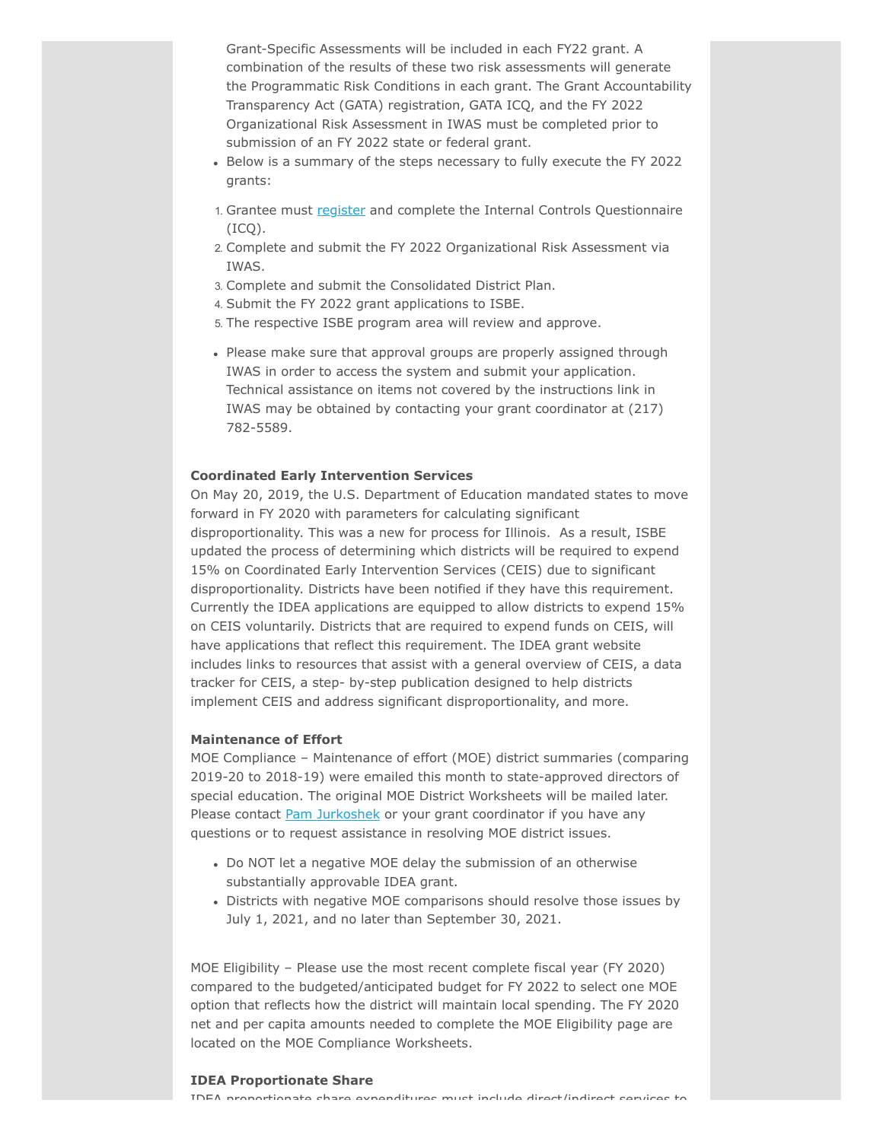Grant-Specific Assessments will be included in each FY22 grant. A combination of the results of these two risk assessments will generate the Programmatic Risk Conditions in each grant. The Grant Accountability Transparency Act (GATA) registration, GATA ICQ, and the FY 2022 Organizational Risk Assessment in IWAS must be completed prior to submission of an FY 2022 state or federal grant.

- Below is a summary of the steps necessary to fully execute the FY 2022 grants:
- 1. Grantee must [register](https://grants.illinois.gov/portal/) and complete the Internal Controls Questionnaire  $(ICO).$
- 2. Complete and submit the FY 2022 Organizational Risk Assessment via IWAS.
- 3. Complete and submit the Consolidated District Plan.
- 4. Submit the FY 2022 grant applications to ISBE.
- 5. The respective ISBE program area will review and approve.
- Please make sure that approval groups are properly assigned through IWAS in order to access the system and submit your application. Technical assistance on items not covered by the instructions link in IWAS may be obtained by contacting your grant coordinator at (217) 782-5589.

## **Coordinated Early Intervention Services**

On May 20, 2019, the U.S. Department of Education mandated states to move forward in FY 2020 with parameters for calculating significant disproportionality. This was a new for process for Illinois. As a result, ISBE updated the process of determining which districts will be required to expend 15% on Coordinated Early Intervention Services (CEIS) due to significant disproportionality. Districts have been notified if they have this requirement. Currently the IDEA applications are equipped to allow districts to expend 15% on CEIS voluntarily. Districts that are required to expend funds on CEIS, will have applications that reflect this requirement. The IDEA grant website includes links to resources that assist with a general overview of CEIS, a data tracker for CEIS, a step- by-step publication designed to help districts implement CEIS and address significant disproportionality, and more.

#### **Maintenance of Effort**

MOE Compliance – Maintenance of effort (MOE) district summaries (comparing 2019-20 to 2018-19) were emailed this month to state-approved directors of special education. The original MOE District Worksheets will be mailed later. Please contact **Pam Jurkoshek** or your grant coordinator if you have any questions or to request assistance in resolving MOE district issues.

- Do NOT let a negative MOE delay the submission of an otherwise substantially approvable IDEA grant.
- Districts with negative MOE comparisons should resolve those issues by July 1, 2021, and no later than September 30, 2021.

MOE Eligibility – Please use the most recent complete fiscal year (FY 2020) compared to the budgeted/anticipated budget for FY 2022 to select one MOE option that reflects how the district will maintain local spending. The FY 2020 net and per capita amounts needed to complete the MOE Eligibility page are located on the MOE Compliance Worksheets.

#### **IDEA Proportionate Share**